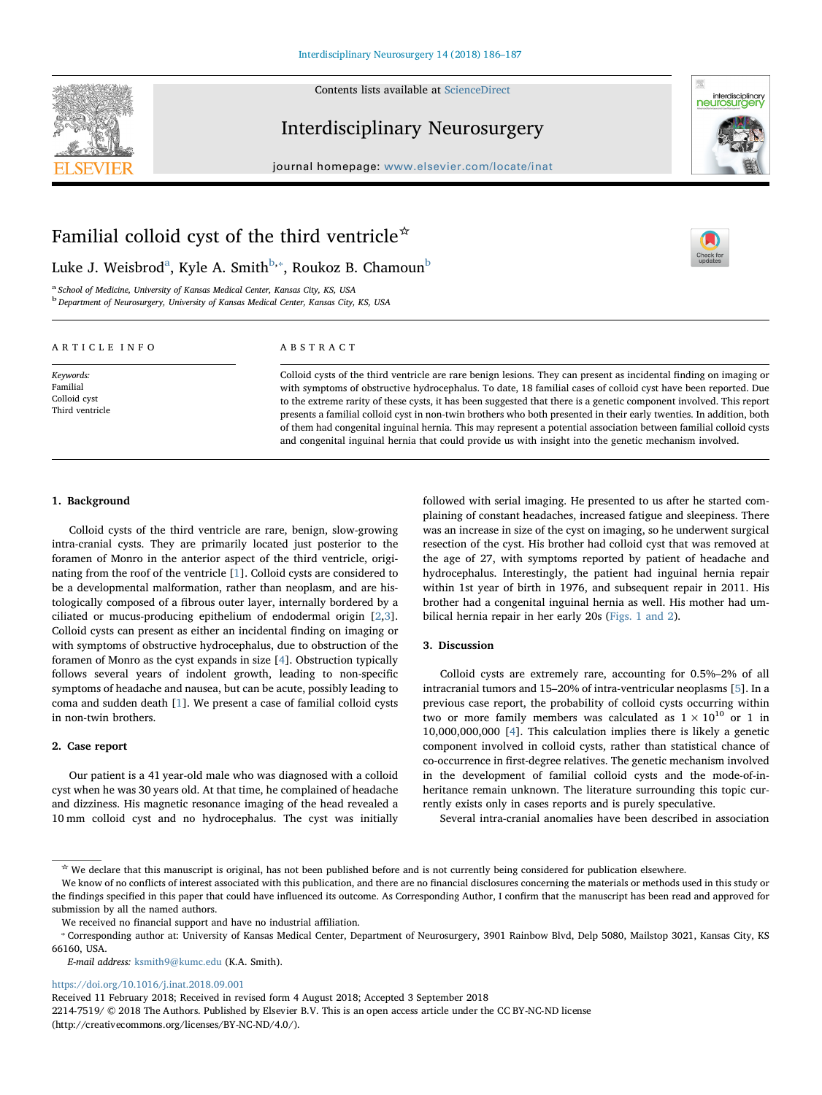

Contents lists available at [ScienceDirect](http://www.sciencedirect.com/science/journal/22147519)

# Interdisciplinary Neurosurgery



 $\sum_{\text{the}}$ 

journal homepage: [www.elsevier.com/locate/inat](https://www.elsevier.com/locate/inat)

# Familial colloid cyst of the third ventricle☆

Luke J. Weisbrod<sup>[a](#page-0-0)</sup>, Kyle A. Smith<sup>[b](#page-0-1),</sup>\*, Roukoz B. Chamoun<sup>b</sup>

<span id="page-0-1"></span><span id="page-0-0"></span><sup>a</sup> School of Medicine, University of Kansas Medical Center, Kansas City, KS, USA <sup>b</sup> Department of Neurosurgery, University of Kansas Medical Center, Kansas City, KS, USA

## ARTICLE INFO

Keywords: Familial Colloid cyst Third ventricle

## ABSTRACT

Colloid cysts of the third ventricle are rare benign lesions. They can present as incidental finding on imaging or with symptoms of obstructive hydrocephalus. To date, 18 familial cases of colloid cyst have been reported. Due to the extreme rarity of these cysts, it has been suggested that there is a genetic component involved. This report presents a familial colloid cyst in non-twin brothers who both presented in their early twenties. In addition, both of them had congenital inguinal hernia. This may represent a potential association between familial colloid cysts and congenital inguinal hernia that could provide us with insight into the genetic mechanism involved.

#### 1. Background

Colloid cysts of the third ventricle are rare, benign, slow-growing intra-cranial cysts. They are primarily located just posterior to the foramen of Monro in the anterior aspect of the third ventricle, originating from the roof of the ventricle [[1](#page-1-0)]. Colloid cysts are considered to be a developmental malformation, rather than neoplasm, and are histologically composed of a fibrous outer layer, internally bordered by a ciliated or mucus-producing epithelium of endodermal origin [[2](#page-1-1),[3](#page-1-2)]. Colloid cysts can present as either an incidental finding on imaging or with symptoms of obstructive hydrocephalus, due to obstruction of the foramen of Monro as the cyst expands in size [\[4\]](#page-1-3). Obstruction typically follows several years of indolent growth, leading to non-specific symptoms of headache and nausea, but can be acute, possibly leading to coma and sudden death [[1](#page-1-0)]. We present a case of familial colloid cysts in non-twin brothers.

#### 2. Case report

Our patient is a 41 year-old male who was diagnosed with a colloid cyst when he was 30 years old. At that time, he complained of headache and dizziness. His magnetic resonance imaging of the head revealed a 10 mm colloid cyst and no hydrocephalus. The cyst was initially

followed with serial imaging. He presented to us after he started complaining of constant headaches, increased fatigue and sleepiness. There was an increase in size of the cyst on imaging, so he underwent surgical resection of the cyst. His brother had colloid cyst that was removed at the age of 27, with symptoms reported by patient of headache and hydrocephalus. Interestingly, the patient had inguinal hernia repair within 1st year of birth in 1976, and subsequent repair in 2011. His brother had a congenital inguinal hernia as well. His mother had umbilical hernia repair in her early 20s ([Figs. 1 and 2](#page-1-4)).

#### 3. Discussion

Colloid cysts are extremely rare, accounting for 0.5%–2% of all intracranial tumors and 15–20% of intra-ventricular neoplasms [[5](#page-1-5)]. In a previous case report, the probability of colloid cysts occurring within two or more family members was calculated as  $1 \times 10^{10}$  or 1 in 10,000,000,000 [\[4\]](#page-1-3). This calculation implies there is likely a genetic component involved in colloid cysts, rather than statistical chance of co-occurrence in first-degree relatives. The genetic mechanism involved in the development of familial colloid cysts and the mode-of-inheritance remain unknown. The literature surrounding this topic currently exists only in cases reports and is purely speculative.

Several intra-cranial anomalies have been described in association

E-mail address: [ksmith9@kumc.edu](mailto:ksmith9@kumc.edu) (K.A. Smith).

<https://doi.org/10.1016/j.inat.2018.09.001>

Received 11 February 2018; Received in revised form 4 August 2018; Accepted 3 September 2018

2214-7519/ © 2018 The Authors. Published by Elsevier B.V. This is an open access article under the CC BY-NC-ND license (http://creativecommons.org/licenses/BY-NC-ND/4.0/).

<sup>☆</sup> We declare that this manuscript is original, has not been published before and is not currently being considered for publication elsewhere.

We know of no conflicts of interest associated with this publication, and there are no financial disclosures concerning the materials or methods used in this study or the findings specified in this paper that could have influenced its outcome. As Corresponding Author, I confirm that the manuscript has been read and approved for submission by all the named authors.

<span id="page-0-2"></span>We received no financial support and have no industrial affiliation.<br> © Corresponding author at: University of Kansas Medical Center, Department of Neurosurgery, 3901 Rainbow Blvd, Delp 5080, Mailstop 3021, Kansas City, KS 66160, USA.